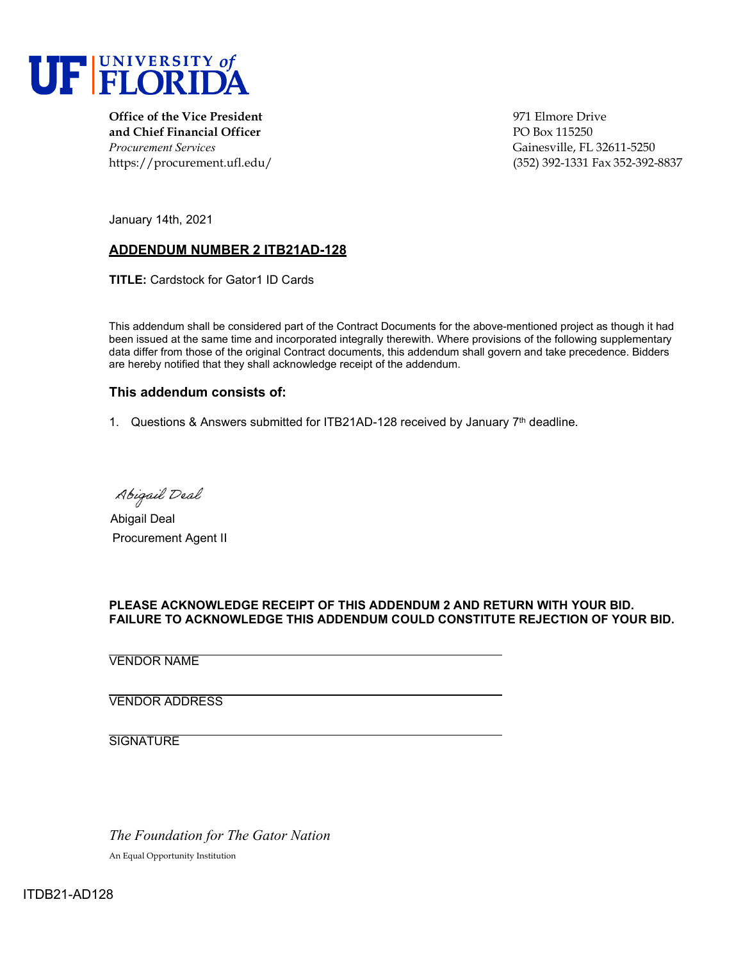

**Office of the Vice President** 971 Elmore Drive **and Chief Financial Officer** PO Box 115250 *Procurement Services* Gainesville, FL 32611-5250

https://procurement.ufl.edu/ (352) 392-1331 Fax 352-392-8837

January 14th, 2021

### **ADDENDUM NUMBER 2 ITB21AD-128**

**TITLE:** Cardstock for Gator1 ID Cards

This addendum shall be considered part of the Contract Documents for the above-mentioned project as though it had been issued at the same time and incorporated integrally therewith. Where provisions of the following supplementary data differ from those of the original Contract documents, this addendum shall govern and take precedence. Bidders are hereby notified that they shall acknowledge receipt of the addendum.

#### **This addendum consists of:**

1. Questions & Answers submitted for ITB21AD-128 received by January  $7<sup>th</sup>$  deadline.

Abigail Deal

Abigail Deal Procurement Agent II

#### **PLEASE ACKNOWLEDGE RECEIPT OF THIS ADDENDUM 2 AND RETURN WITH YOUR BID. FAILURE TO ACKNOWLEDGE THIS ADDENDUM COULD CONSTITUTE REJECTION OF YOUR BID.**

VENDOR NAME

VENDOR ADDRESS

**SIGNATURE** 

*The Foundation for The Gator Nation*

An Equal Opportunity Institution